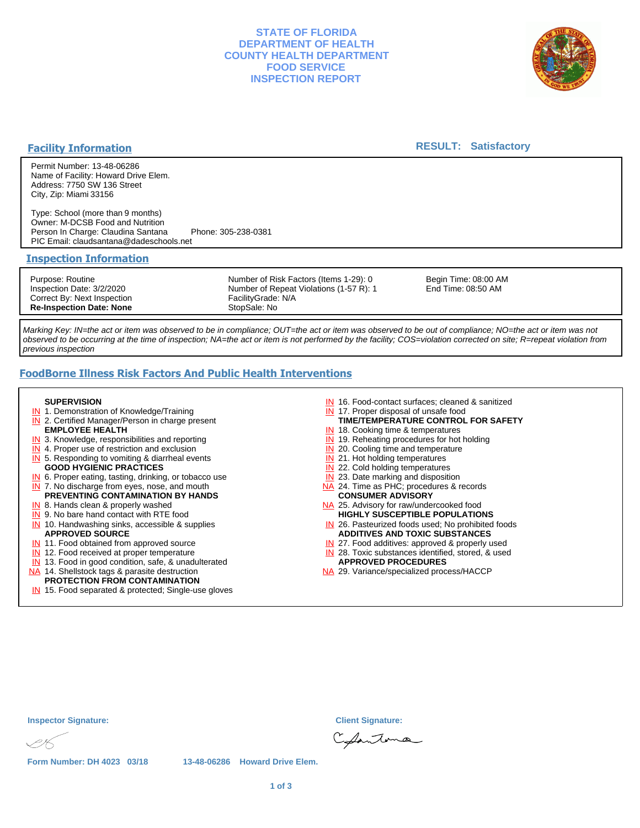## **STATE OF FLORIDA DEPARTMENT OF HEALTH COUNTY HEALTH DEPARTMENT FOOD SERVICE INSPECTION REPORT**



## **Facility Information**

### **RESULT: Satisfactory**

Permit Number: 13-48-06286 Name of Facility: Howard Drive Elem. Address: 7750 SW 136 Street City, Zip: Miami 33156

Type: School (more than 9 months) Owner: M-DCSB Food and Nutrition Person In Charge: Claudina Santana Phone: 305-238-0381 PIC Email: claudsantana@dadeschools.net

#### **Inspection Information**

Purpose: Routine Inspection Date: 3/2/2020 Correct By: Next Inspection **Re-Inspection Date: None** Number of Risk Factors (Items 1-29): 0 Number of Repeat Violations (1-57 R): 1 FacilityGrade: N/A StopSale: No

Begin Time: 08:00 AM End Time: 08:50 AM

Marking Key: IN=the act or item was observed to be in compliance; OUT=the act or item was observed to be out of compliance; NO=the act or item was not observed to be occurring at the time of inspection; NA=the act or item is not performed by the facility; COS=violation corrected on site; R=repeat violation from previous inspection

# **FoodBorne Illness Risk Factors And Public Health Interventions**

#### **SUPERVISION**

- **IN** 1. Demonstration of Knowledge/Training
- **IN** 2. Certified Manager/Person in charge present **EMPLOYEE HEALTH**
- **IN** 3. Knowledge, responsibilities and reporting
- **IN** 4. Proper use of restriction and exclusion
- **IN** 5. Responding to vomiting & diarrheal events
- **GOOD HYGIENIC PRACTICES**
- **IN** 6. Proper eating, tasting, drinking, or tobacco use **IN** 7. No discharge from eyes, nose, and mouth
- **PREVENTING CONTAMINATION BY HANDS**
- IN 8. Hands clean & properly washed
- **IN** 9. No bare hand contact with RTE food IN 10. Handwashing sinks, accessible & supplies **APPROVED SOURCE**
- **IN** 11. Food obtained from approved source
- **IN** 12. Food received at proper temperature
- IN 13. Food in good condition, safe, & unadulterated
- NA 14. Shellstock tags & parasite destruction

# **PROTECTION FROM CONTAMINATION**

IN 15. Food separated & protected; Single-use gloves

- IN 16. Food-contact surfaces; cleaned & sanitized
- IN 17. Proper disposal of unsafe food
- **TIME/TEMPERATURE CONTROL FOR SAFETY**
- IN 18. Cooking time & temperatures
- **IN** 19. Reheating procedures for hot holding **IN** 20. Cooling time and temperature
- IN 21. Hot holding temperatures
- **IN** 22. Cold holding temperatures
- **IN** 23. Date marking and disposition
- NA 24. Time as PHC; procedures & records **CONSUMER ADVISORY**
- NA 25. Advisory for raw/undercooked food **HIGHLY SUSCEPTIBLE POPULATIONS**
- IN 26. Pasteurized foods used; No prohibited foods **ADDITIVES AND TOXIC SUBSTANCES**
- IN 27. Food additives: approved & properly used
- IN 28. Toxic substances identified, stored, & used **APPROVED PROCEDURES**
- NA 29. Variance/specialized process/HACCP

**Form Number: DH 4023 03/18 13-48-06286 Howard Drive Elem.**

Chantoma

**Inspector Signature: Client Signature:**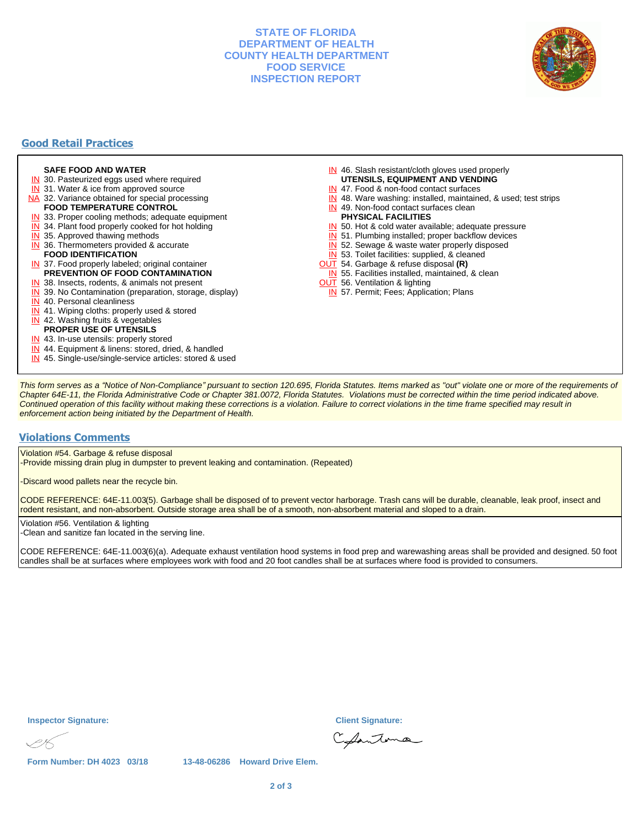## **STATE OF FLORIDA DEPARTMENT OF HEALTH COUNTY HEALTH DEPARTMENT FOOD SERVICE INSPECTION REPORT**



# **Good Retail Practices**

#### **SAFE FOOD AND WATER**

- **IN** 30. Pasteurized eggs used where required
- IN 31. Water & ice from approved source
- NA 32. Variance obtained for special processing **FOOD TEMPERATURE CONTROL**
- 
- **IN** 33. Proper cooling methods; adequate equipment
- **IN** 34. Plant food properly cooked for hot holding
- **IN** 35. Approved thawing methods
- IN 36. Thermometers provided & accurate **FOOD IDENTIFICATION**
- IN 37. Food properly labeled; original container **PREVENTION OF FOOD CONTAMINATION**
- IN 38. Insects, rodents, & animals not present
- **IN** 39. No Contamination (preparation, storage, display)
- IN 40. Personal cleanliness
- IN 41. Wiping cloths: properly used & stored
- IN 42. Washing fruits & vegetables
- **PROPER USE OF UTENSILS**
- IN 43. In-use utensils: properly stored
- IN 44. Equipment & linens: stored, dried, & handled
- IN 45. Single-use/single-service articles: stored & used
- IN 46. Slash resistant/cloth gloves used properly
- **UTENSILS, EQUIPMENT AND VENDING**
- IN 47. Food & non-food contact surfaces
- IN 48. Ware washing: installed, maintained, & used; test strips
- IN 49. Non-food contact surfaces clean
- **PHYSICAL FACILITIES**
- IN 50. Hot & cold water available; adequate pressure
- IN 51. Plumbing installed; proper backflow devices
- IN 52. Sewage & waste water properly disposed
- IN 53. Toilet facilities: supplied, & cleaned
- OUT 54. Garbage & refuse disposal **(R)**
- IN 55. Facilities installed, maintained, & clean
- **OUT** 56. Ventilation & lighting
- IN 57. Permit; Fees; Application; Plans

This form serves as a "Notice of Non-Compliance" pursuant to section 120.695, Florida Statutes. Items marked as "out" violate one or more of the requirements of Chapter 64E-11, the Florida Administrative Code or Chapter 381.0072, Florida Statutes. Violations must be corrected within the time period indicated above. Continued operation of this facility without making these corrections is a violation. Failure to correct violations in the time frame specified may result in enforcement action being initiated by the Department of Health.

### **Violations Comments**

Violation #54. Garbage & refuse disposal

-Provide missing drain plug in dumpster to prevent leaking and contamination. (Repeated)

-Discard wood pallets near the recycle bin.

CODE REFERENCE: 64E-11.003(5). Garbage shall be disposed of to prevent vector harborage. Trash cans will be durable, cleanable, leak proof, insect and rodent resistant, and non-absorbent. Outside storage area shall be of a smooth, non-absorbent material and sloped to a drain.

Violation #56. Ventilation & lighting -Clean and sanitize fan located in the serving line.

CODE REFERENCE: 64E-11.003(6)(a). Adequate exhaust ventilation hood systems in food prep and warewashing areas shall be provided and designed. 50 foot candles shall be at surfaces where employees work with food and 20 foot candles shall be at surfaces where food is provided to consumers.

**Inspector Signature: Client Signature:**

Chantoma

**Form Number: DH 4023 03/18 13-48-06286 Howard Drive Elem.**